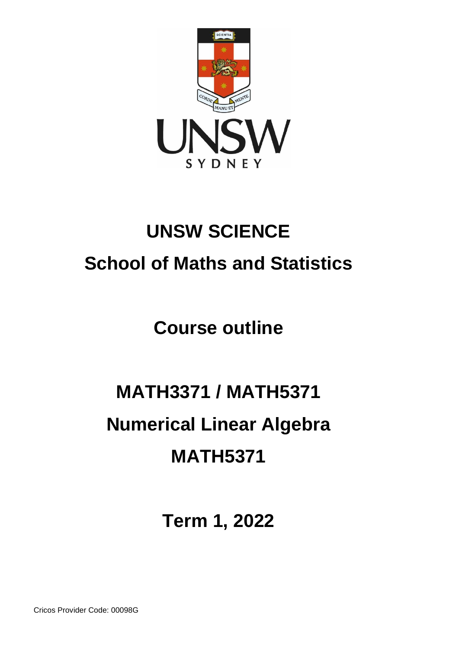

## **UNSW SCIENCE School of Maths and Statistics**

**Course outline**

# **MATH3371 / MATH5371 Numerical Linear Algebra MATH5371**

**Term 1, 2022**

Cricos Provider Code: 00098G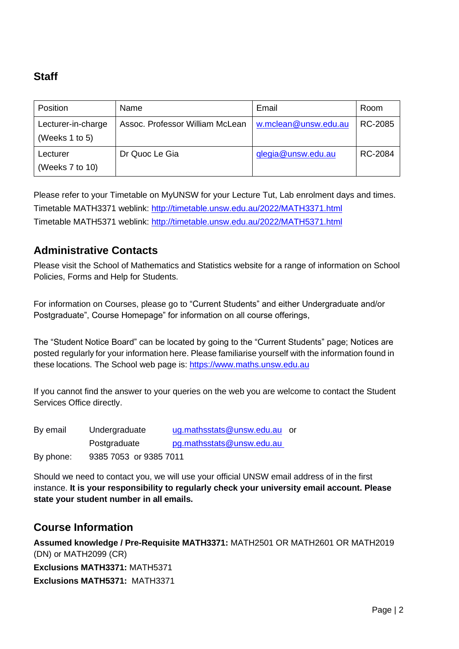### **Staff**

| Position                             | Name                            | Email                | Room    |
|--------------------------------------|---------------------------------|----------------------|---------|
| Lecturer-in-charge<br>(Weeks 1 to 5) | Assoc. Professor William McLean | w.mclean@unsw.edu.au | RC-2085 |
| Lecturer<br>(Weeks 7 to 10)          | Dr Quoc Le Gia                  | glegia@unsw.edu.au   | RC-2084 |

Please refer to your Timetable on MyUNSW for your Lecture Tut, Lab enrolment days and times. Timetable MATH3371 weblink: <http://timetable.unsw.edu.au/2022/MATH3371.html> Timetable MATH5371 weblink: <http://timetable.unsw.edu.au/2022/MATH5371.html>

#### **Administrative Contacts**

Please visit the School of Mathematics and Statistics website for a range of information on School Policies, Forms and Help for Students.

For information on Courses, please go to "Current Students" and either Undergraduate and/or Postgraduate", Course Homepage" for information on all course offerings,

The "Student Notice Board" can be located by going to the "Current Students" page; Notices are posted regularly for your information here. Please familiarise yourself with the information found in these locations. The School web page is: [https://www.maths.unsw.edu.au](https://www.maths.unsw.edu.au/)

If you cannot find the answer to your queries on the web you are welcome to contact the Student Services Office directly.

| By email  | Undergraduate          | ug.mathsstats@unsw.edu.au or |  |
|-----------|------------------------|------------------------------|--|
|           | Postgraduate           | pg.mathsstats@unsw.edu.au    |  |
| By phone: | 9385 7053 or 9385 7011 |                              |  |

Should we need to contact you, we will use your official UNSW email address of in the first instance. **It is your responsibility to regularly check your university email account. Please state your student number in all emails.**

#### **Course Information**

**Assumed knowledge / Pre-Requisite MATH3371:** MATH2501 OR MATH2601 OR MATH2019 (DN) or MATH2099 (CR) **Exclusions MATH3371:** MATH5371 **Exclusions MATH5371:** MATH3371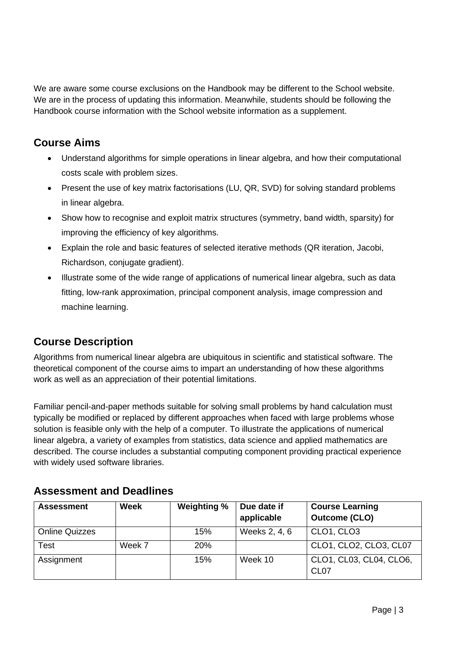We are aware some course exclusions on the Handbook may be different to the School website. We are in the process of updating this information. Meanwhile, students should be following the Handbook course information with the School website information as a supplement.

#### **Course Aims**

- Understand algorithms for simple operations in linear algebra, and how their computational costs scale with problem sizes.
- Present the use of key matrix factorisations (LU, QR, SVD) for solving standard problems in linear algebra.
- Show how to recognise and exploit matrix structures (symmetry, band width, sparsity) for improving the efficiency of key algorithms.
- Explain the role and basic features of selected iterative methods (QR iteration, Jacobi, Richardson, conjugate gradient).
- Illustrate some of the wide range of applications of numerical linear algebra, such as data fitting, low-rank approximation, principal component analysis, image compression and machine learning.

#### **Course Description**

Algorithms from numerical linear algebra are ubiquitous in scientific and statistical software. The theoretical component of the course aims to impart an understanding of how these algorithms work as well as an appreciation of their potential limitations.

Familiar pencil-and-paper methods suitable for solving small problems by hand calculation must typically be modified or replaced by different approaches when faced with large problems whose solution is feasible only with the help of a computer. To illustrate the applications of numerical linear algebra, a variety of examples from statistics, data science and applied mathematics are described. The course includes a substantial computing component providing practical experience with widely used software libraries.

| <b>Assessment</b>     | <b>Week</b> | Weighting % | Due date if<br>applicable | <b>Course Learning</b><br><b>Outcome (CLO)</b> |
|-----------------------|-------------|-------------|---------------------------|------------------------------------------------|
| <b>Online Quizzes</b> |             | 15%         | Weeks 2, 4, 6             | CLO1, CLO3                                     |
| Test                  | Week 7      | <b>20%</b>  |                           | CLO1, CLO2, CLO3, CL07                         |
| Assignment            |             | 15%         | Week 10                   | CLO1, CL03, CL04, CLO6,<br>CL <sub>07</sub>    |

#### **Assessment and Deadlines**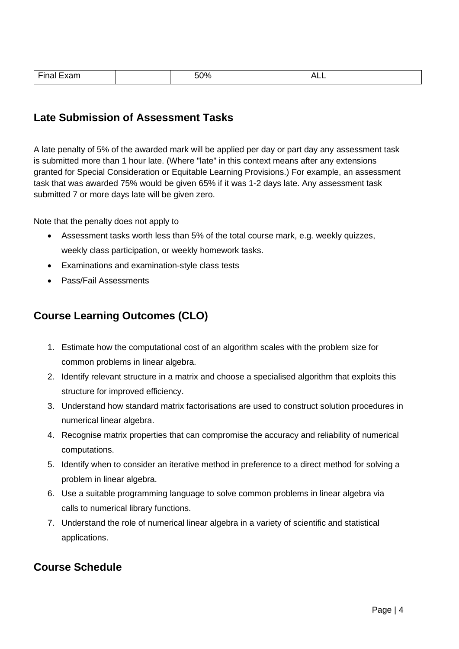| $- \cdot$<br>Finai<br>Exam | 50% | ALL. |
|----------------------------|-----|------|

#### **Late Submission of Assessment Tasks**

A late penalty of 5% of the awarded mark will be applied per day or part day any assessment task is submitted more than 1 hour late. (Where "late" in this context means after any extensions granted for Special Consideration or Equitable Learning Provisions.) For example, an assessment task that was awarded 75% would be given 65% if it was 1-2 days late. Any assessment task submitted 7 or more days late will be given zero.

Note that the penalty does not apply to

- Assessment tasks worth less than 5% of the total course mark, e.g. weekly quizzes, weekly class participation, or weekly homework tasks.
- Examinations and examination-style class tests
- Pass/Fail Assessments

#### **Course Learning Outcomes (CLO)**

- 1. Estimate how the computational cost of an algorithm scales with the problem size for common problems in linear algebra.
- 2. Identify relevant structure in a matrix and choose a specialised algorithm that exploits this structure for improved efficiency.
- 3. Understand how standard matrix factorisations are used to construct solution procedures in numerical linear algebra.
- 4. Recognise matrix properties that can compromise the accuracy and reliability of numerical computations.
- 5. Identify when to consider an iterative method in preference to a direct method for solving a problem in linear algebra.
- 6. Use a suitable programming language to solve common problems in linear algebra via calls to numerical library functions.
- 7. Understand the role of numerical linear algebra in a variety of scientific and statistical applications.

#### **Course Schedule**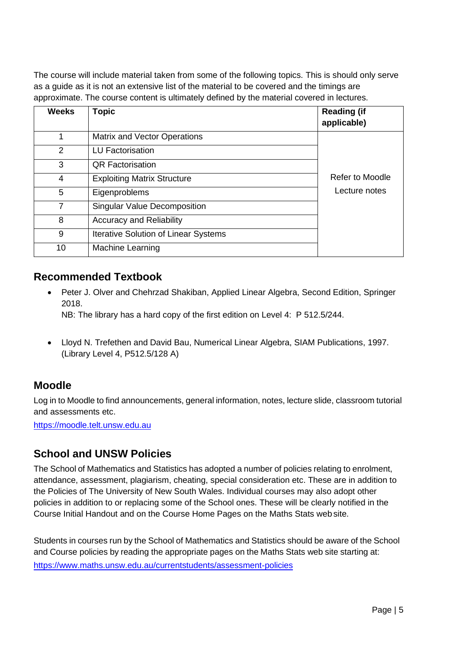The course will include material taken from some of the following topics. This is should only serve as a guide as it is not an extensive list of the material to be covered and the timings are approximate. The course content is ultimately defined by the material covered in lectures.

| <b>Weeks</b> | <b>Topic</b>                                | <b>Reading (if</b><br>applicable) |
|--------------|---------------------------------------------|-----------------------------------|
| 1            | <b>Matrix and Vector Operations</b>         |                                   |
| 2            | <b>LU Factorisation</b>                     |                                   |
| 3            | <b>QR Factorisation</b>                     |                                   |
| 4            | <b>Exploiting Matrix Structure</b>          | <b>Refer to Moodle</b>            |
| 5            | Eigenproblems                               | Lecture notes                     |
| 7            | <b>Singular Value Decomposition</b>         |                                   |
| 8            | <b>Accuracy and Reliability</b>             |                                   |
| 9            | <b>Iterative Solution of Linear Systems</b> |                                   |
| 10           | Machine Learning                            |                                   |

#### **Recommended Textbook**

• Peter J. Olver and Chehrzad Shakiban, Applied Linear Algebra, Second Edition, Springer 2018.

NB: The library has a hard copy of the first edition on Level 4: P 512.5/244.

• Lloyd N. Trefethen and David Bau, Numerical Linear Algebra, SIAM Publications, 1997. (Library Level 4, P512.5/128 A)

#### **Moodle**

Log in to Moodle to find announcements, general information, notes, lecture slide, classroom tutorial and assessments etc.

[https://moodle.telt.unsw.edu.au](https://moodle.telt.unsw.edu.au/)

#### **School and UNSW Policies**

The School of Mathematics and Statistics has adopted a number of policies relating to enrolment, attendance, assessment, plagiarism, cheating, special consideration etc. These are in addition to the Policies of The University of New South Wales. Individual courses may also adopt other policies in addition to or replacing some of the School ones. These will be clearly notified in the Course Initial Handout and on the Course Home Pages on the Maths Stats web site.

Students in courses run by the School of Mathematics and Statistics should be aware of the School and Course policies by reading the appropriate pages on the Maths Stats web site starting at: https:/[/www.maths.unsw.edu.au/currentstudents/assessment-policies](http://www.maths.unsw.edu.au/currentstudents/assessment-policies)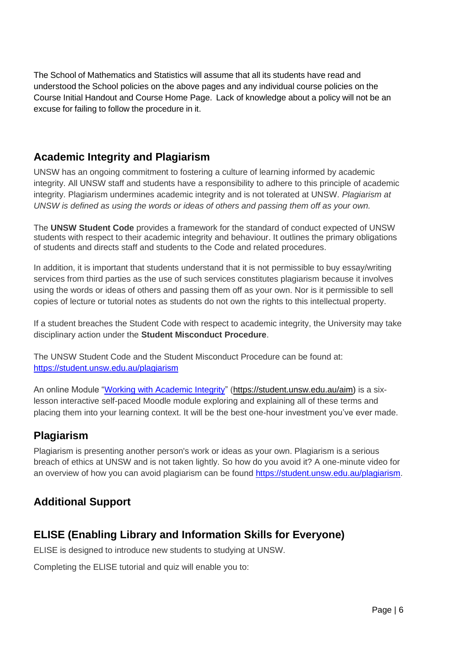The School of Mathematics and Statistics will assume that all its students have read and understood the School policies on the above pages and any individual course policies on the Course Initial Handout and Course Home Page. Lack of knowledge about a policy will not be an excuse for failing to follow the procedure in it.

#### **Academic Integrity and Plagiarism**

UNSW has an ongoing commitment to fostering a culture of learning informed by academic integrity. All UNSW staff and students have a responsibility to adhere to this principle of academic integrity. Plagiarism undermines academic integrity and is not tolerated at UNSW. *Plagiarism at UNSW is defined as using the words or ideas of others and passing them off as your own.*

The **UNSW Student Code** provides a framework for the standard of conduct expected of UNSW students with respect to their academic integrity and behaviour. It outlines the primary obligations of students and directs staff and students to the Code and related procedures.

In addition, it is important that students understand that it is not permissible to buy essay/writing services from third parties as the use of such services constitutes plagiarism because it involves using the words or ideas of others and passing them off as your own. Nor is it permissible to sell copies of lecture or tutorial notes as students do not own the rights to this intellectual property.

If a student breaches the Student Code with respect to academic integrity, the University may take disciplinary action under the **Student Misconduct Procedure**.

The UNSW Student Code and the Student Misconduct Procedure can be found at: <https://student.unsw.edu.au/plagiarism>

An online Module ["Working with Academic Integrity"](https://student.unsw.edu.au/aim) [\(https://student.unsw.edu.au/aim\)](https://student.unsw.edu.au/aim) is a sixlesson interactive self-paced Moodle module exploring and explaining all of these terms and placing them into your learning context. It will be the best one-hour investment you've ever made.

#### **Plagiarism**

Plagiarism is presenting another person's work or ideas as your own. Plagiarism is a serious breach of ethics at UNSW and is not taken lightly. So how do you avoid it? A one-minute video for an overview of how you can avoid plagiarism can be found [https://student.unsw.edu.au/plagiarism.](https://student.unsw.edu.au/plagiarism)

#### **Additional Support**

#### **ELISE (Enabling Library and Information Skills for Everyone)**

ELISE is designed to introduce new students to studying at UNSW.

Completing the ELISE tutorial and quiz will enable you to: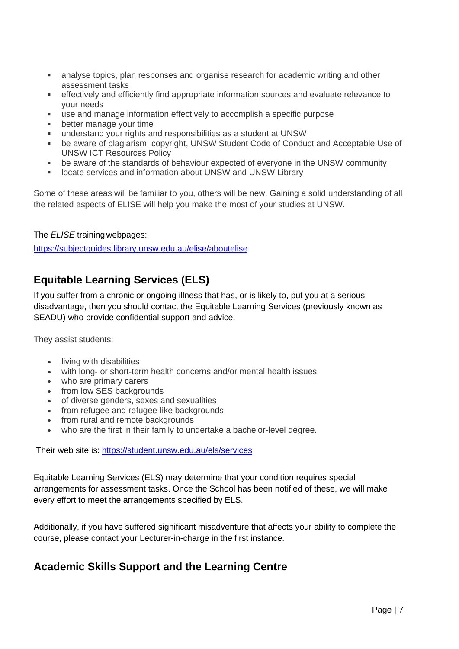- **EXECT** analyse topics, plan responses and organise research for academic writing and other assessment tasks
- **•** effectively and efficiently find appropriate information sources and evaluate relevance to your needs
- use and manage information effectively to accomplish a specific purpose
- better manage your time
- understand your rights and responsibilities as a student at UNSW
- be aware of plagiarism, copyright, UNSW Student Code of Conduct and Acceptable Use of UNSW ICT Resources Policy
- be aware of the standards of behaviour expected of everyone in the UNSW community
- **■** locate services and information about UNSW and UNSW Library

Some of these areas will be familiar to you, others will be new. Gaining a solid understanding of all the related aspects of ELISE will help you make the most of your studies at UNSW.

#### The *ELISE* trainingwebpages:

<https://subjectguides.library.unsw.edu.au/elise/aboutelise>

#### **Equitable Learning Services (ELS)**

If you suffer from a chronic or ongoing illness that has, or is likely to, put you at a serious disadvantage, then you should contact the Equitable Learning Services (previously known as SEADU) who provide confidential support and advice.

They assist students:

- living with disabilities
- with long- or short-term health concerns and/or mental health issues
- who are primary carers
- from low SES backgrounds
- of diverse genders, sexes and sexualities
- from refugee and refugee-like backgrounds
- from rural and remote backgrounds
- who are the first in their family to undertake a bachelor-level degree.

Their web site is: <https://student.unsw.edu.au/els/services>

Equitable Learning Services (ELS) may determine that your condition requires special arrangements for assessment tasks. Once the School has been notified of these, we will make every effort to meet the arrangements specified by ELS.

Additionally, if you have suffered significant misadventure that affects your ability to complete the course, please contact your Lecturer-in-charge in the first instance.

#### **Academic Skills Support and the Learning Centre**